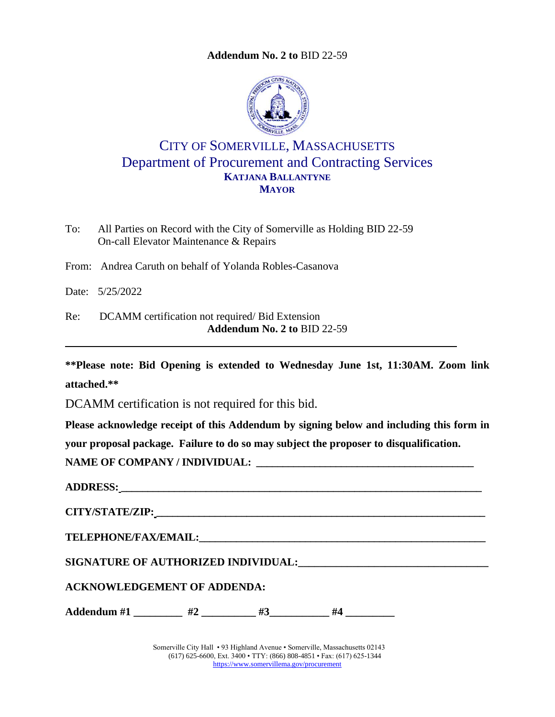**Addendum No. 2 to** [BID 22-59](#page-0-0)

<span id="page-0-0"></span>

## CITY OF SOMERVILLE, MASSACHUSETTS Department of Procurement and Contracting Services **KATJANA BALLANTYNE MAYOR**

To: All Parties on Record with the City of Somerville as Holding BID 22-59 On-call Elevator Maintenance & Repairs

From: Andrea Caruth on behalf of Yolanda Robles-Casanova

Date: 5/25/2022

Re: DCAMM certification not required/ Bid Extension **Addendum No. 2 to** BID 22-59

**\*\*Please note: Bid Opening is extended to Wednesday June 1st, 11:30AM. Zoom link attached.\*\***

DCAMM certification is not required for this bid.

**Please acknowledge receipt of this Addendum by signing below and including this form in your proposal package. Failure to do so may subject the proposer to disqualification.**

**NAME OF COMPANY / INDIVIDUAL:** 

| SIGNATURE OF AUTHORIZED INDIVIDUAL: National Action of the Contract of Authority of Australian Contract of the |
|----------------------------------------------------------------------------------------------------------------|
|                                                                                                                |
| Addendum #1 $\qquad$ #2 $\qquad$ #3 $\qquad$ #4                                                                |
|                                                                                                                |

Somerville City Hall • 93 Highland Avenue • Somerville, Massachusetts 02143 (617) 625-6600, Ext. 3400 • TTY: (866) 808-4851 • Fax: (617) 625-1344 <https://www.somervillema.gov/procurement>